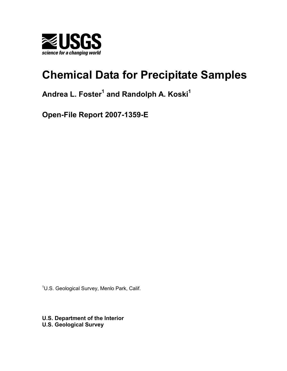

# **Chemical Data for Precipitate Samples**

## **Andrea L. Foster<sup>1</sup> and Randolph A. Koski<sup>1</sup>**

**Open-File Report 2007-1359-E** 

<sup>1</sup>U.S. Geological Survey, Menlo Park, Calif.

**U.S. Department of the Interior U.S. Geological Survey**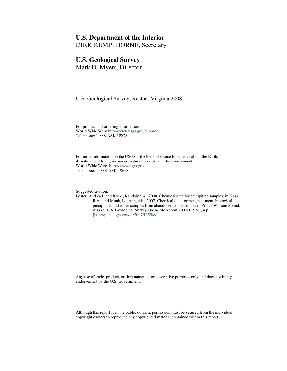## **U.S. Department of the Interior**

DIRK KEMPTHORNE, Secretary

## **U.S. Geological Survey**

Mark D. Myers, Director

U.S. Geological Survey, Reston, Virginia 2008

For product and ordering information: World Wide Web[: http://www.usgs.gov/pubprod](http://www.usgs.gov/pubprod) Telephone: 1-888-ASK-USGS

For more information on the USGS—the Federal source for science about the Earth, its natural and living resources, natural hazards, and the environment: World Wide Web: [http://www.usgs.gov](http://www.usgs.gov/) Telephone: 1-888-ASK-USGS

Suggested citation:

Foster, Andrea L.and Koski, Randolph A., 2008, Chemical data for precipitate samples, in Koski, R.A., and Munk, LeeAnn, eds., 2007, Chemical data for rock, sediment, biological, precipitate, and water samples from abandoned copper mines in Prince William Sound, Alaska: U.S. Geological Survey Open-File Report 2007-1359-E, 4 p. [\[http://pubs.usgs.gov/of/2007/1359/e/\]](http://pubs.usgs.gov/of/2007/1359/e/).

Any use of trade, product, or firm names is for descriptive purposes only and does not imply endorsement by the U.S. Government.

Although this report is in the public domain, permission must be secured from the individual copyright owners to reproduce any copyrighted material contained within this report.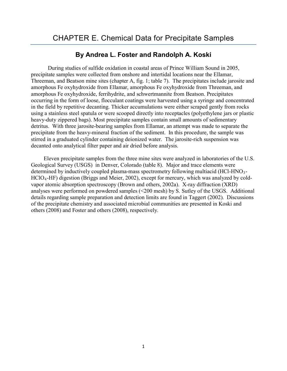## **By Andrea L. Foster and Randolph A. Koski**

 During studies of sulfide oxidation in coastal areas of Prince William Sound in 2005, precipitate samples were collected from onshore and intertidal locations near the Ellamar, Threeman, and Beatson mine sites (chapter A, fig. 1; table 7). The precipitates include jarosite and amorphous Fe oxyhydroxide from Ellamar, amorphous Fe oxyhydroxide from Threeman, and amorphous Fe oxyhydroxide, ferrihydrite, and schwertmannite from Beatson. Precipitates occurring in the form of loose, flocculant coatings were harvested using a syringe and concentrated in the field by repetitive decanting. Thicker accumulations were either scraped gently from rocks using a stainless steel spatula or were scooped directly into receptacles (polyethylene jars or plastic heavy-duty zippered bags). Most precipitate samples contain small amounts of sedimentary detritus. With three jarosite-bearing samples from Ellamar, an attempt was made to separate the precipitate from the heavy-mineral fraction of the sediment. In this procedure, the sample was stirred in a graduated cylinder containing deionized water. The jarosite-rich suspension was decanted onto analytical filter paper and air dried before analysis.

Eleven precipitate samples from the three mine sites were analyzed in laboratories of the U.S. Geological Survey (USGS) in Denver, Colorado (table 8). Major and trace elements were determined by inductively coupled plasma-mass spectrometry following multiacid (HCl-HNO3- HClO4-HF) digestion (Briggs and Meier, 2002), except for mercury, which was analyzed by coldvapor atomic absorption spectroscopy (Brown and others, 2002a). X-ray diffraction (XRD) analyses were performed on powdered samples (<200 mesh) by S. Sutley of the USGS. Additional details regarding sample preparation and detection limits are found in Taggert (2002). Discussions of the precipitate chemistry and associated microbial communities are presented in Koski and others (2008) and Foster and others (2008), respectively.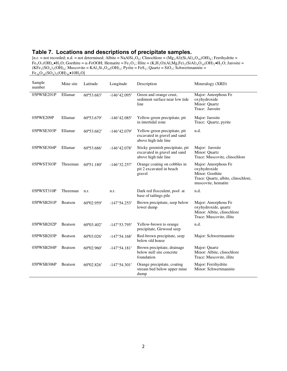#### **Table 7. Locations and descriptions of precipitate samples.**

[n.r. = not recorded; n.d. = not determined; Albite = NaAlSi<sub>3</sub>O<sub>8</sub>; Clinochlore = (Mg<sub>5</sub>Al)(Si,Al)<sub>4</sub>O<sub>10</sub>(OH)<sub>8</sub>; Ferrihydrite =  $Fe_5O_7(OH)_4\bullet H_2O$ ; Goethite =  $\alpha$ -FeOOH; Hematite =  $Fe_2O_3$ ; Illite =  $(K,H_3O)(Al,Mg,Fe)_2(SiAl)_4O_{10}(OH)_2\bullet H_2O$ ; Jarosite =  $(KFe<sub>3</sub>(SO<sub>4</sub>)<sub>2</sub>(OH)<sub>6</sub>;$  Muscovite = KAl<sub>3</sub>Si<sub>3</sub>O<sub>10</sub>(OH)<sub>2</sub>; Pyrite = FeS<sub>2</sub>; Quartz = SiO<sub>2</sub>; Schwertmannite =  $Fe_{16}O_{16}(SO_4)_3(OH)_{10} \bullet 10H_2O$ 

| Sample<br>number | Mine site | Latitude   | Longitude             | Description                                                                              | Mineralogy (XRD)                                                                                                     |  |  |
|------------------|-----------|------------|-----------------------|------------------------------------------------------------------------------------------|----------------------------------------------------------------------------------------------------------------------|--|--|
| 05PWSE201P       | Ellamar   | 60°53.683' | $-146^{\circ}42.095'$ | Green and orange crust,<br>sediment surface near low tide<br>line                        | Major: Amorphous Fe<br>oxyhydroxide<br>Minor: Quartz<br>Trace: Jarosite                                              |  |  |
| 05PWE209P        | Ellamar   | 60°53.679' | $-146^{\circ}42.085'$ | Yellow-green precipitate, pit<br>in intertidal zone                                      | Major: Jarosite<br>Trace: Quartz, pyrite                                                                             |  |  |
| 05PWSE303P       | Ellamar   | 60°53.682' | $-146^{\circ}42.079'$ | Yellow-green precipitate, pit<br>excavated in gravel and sand<br>above high tide line    | n.d.                                                                                                                 |  |  |
| 05PWSE304P       | Ellamar   | 60°53.686' | $-146^{\circ}42.078'$ | Sticky greenish precipitate, pit<br>excavated in gravel and sand<br>above high tide line | Major: Jarosite<br>Minor: Quartz<br>Trace: Muscovite, clinochlore                                                    |  |  |
| 05PWST303P       | Threeman  | 60°51.180' | $-146^{\circ}32.257'$ | Orange coating on cobbles in<br>pit 2 excavated in beach<br>gravel                       | Major: Amorphous Fe<br>oxyhydroxide<br>Minor: Goethite<br>Trace: Quartz, albite, clinochlore,<br>muscovite, hematite |  |  |
| 05PWST310P       | Threeman  | n.r.       | n.r.                  | Dark red flocculent, pool at<br>base of tailings pile                                    | n.d.                                                                                                                 |  |  |
| 05PWSB201P       | Beatson   | 60°02.959' | $-147^{\circ}54.253'$ | Brown precipitate, seep below<br>lower dump                                              | Major: Amorphous Fe<br>oxyhydroxide, quartz<br>Minor: Albite, clinochlore<br>Trace: Muscovite, illite                |  |  |
| 05PWSB202P       | Beatson   | 60°03.402' | $-147^{\circ}53.795'$ | Yellow-brown to orange<br>precipitate, Girwood seep                                      | n.d.                                                                                                                 |  |  |
| 05PWSB203P       | Beatson   | 60°03.026' | $-147^{\circ}54.168'$ | Red-brown precipitate, seep<br>below old house                                           | Major: Schwertmannite                                                                                                |  |  |
| 05PWSB204P       | Beatson   | 60°02.960' | $-147^{\circ}54.181'$ | Brown precipitate, drainage<br>below mill site concrete<br>foundation                    | Major: Quartz<br>Minor: Albite, clinochlore<br>Trace: Muscovite, illite                                              |  |  |
| 05PWSB306P       | Beatson   | 60°02.826' | $-147^{\circ}54.301'$ | Orange precipitate, coating<br>stream bed below upper mine<br>dump                       | Major: Ferrihydrite<br>Minor: Schwertmannite                                                                         |  |  |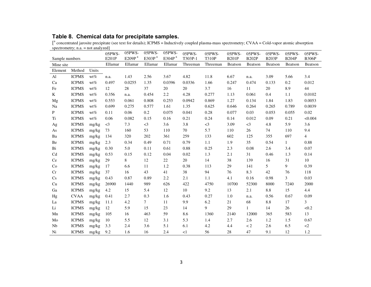## **Table 8. Chemical data for precipitate samples.**

[<sup>a</sup> concentrated jarosite precipitate (see text for details); ICPMS = Inductively coupled plasma-mass spectrometry; CVAA = Cold-vapor atomic absorption spectrometry; n.a. = not analyzed]

|                            |              |        | 05PWS-   | 05PWS-    | 05PWS-             | 05PWS-             | 05PWS-   | 05PWS-       | 05PWS-       | 05PWS-       | 05PWS-       | 05PWS-       | 05PWS-              |
|----------------------------|--------------|--------|----------|-----------|--------------------|--------------------|----------|--------------|--------------|--------------|--------------|--------------|---------------------|
| Sample numbers             |              |        | E201P    | E209P $a$ | E303P <sup>a</sup> | E304P <sup>a</sup> | T303P-1  | <b>T310P</b> | <b>B201P</b> | <b>B202P</b> | <b>B203P</b> | <b>B204P</b> | <b>B306P</b>        |
| Mine site                  |              |        | Ellamar  | Ellamar   | Ellamar            | Ellamar            | Threeman | Threeman     | Beatson      | Beatson      | Beatson      | Beatson      | Beatson             |
| Element                    | Method       | Units  |          |           |                    |                    |          |              |              |              |              |              |                     |
| $\mathbf{Al}$              | <b>ICPMS</b> | $wt\%$ | n.a.     | 1.43      | 2.56               | 3.67               | 4.82     | 11.8         | 6.67         | n.a.         | 3.09         | 5.66         | 3.4                 |
| Ca                         | <b>ICPMS</b> | $wt\%$ | 0.497    | 0.0255    | 1.35               | 0.0396             | 0.0336   | 1.66         | 0.247        | 0.474        | 0.133        | 0.2          | 0.012               |
| Fe                         | <b>ICPMS</b> | $wt\%$ | 12       | 28        | 37                 | 20                 | 20       | 3.7          | 16           | 11           | 20           | 8.9          | 44                  |
| K                          | <b>ICPMS</b> | $wt\%$ | 0.356    | n.a.      | 0.454              | 2.2                | 4.28     | 0.277        | 1.13         | 0.061        | 0.4          | 1.1          | 0.0102              |
| Mg                         | <b>ICPMS</b> | $wt\%$ | 0.553    | 0.061     | 0.808              | 0.253              | 0.0942   | 0.869        | 1.27         | 0.134        | 1.84         | 1.83         | 0.0053              |
| $\rm Na$                   | <b>ICPMS</b> | $wt\%$ | 0.699    | 0.275     | 0.577              | 1.61               | 1.35     | 0.625        | 0.646        | 0.264        | 0.265        | 0.789        | 0.0039              |
| P                          | <b>ICPMS</b> | $wt\%$ | 0.11     | 0.06      | $0.2\,$            | 0.075              | 0.041    | 0.28         | 0.077        | 0.03         | 0.053        | 0.055        | 0.02                |
| Ti                         | <b>ICPMS</b> | $wt\%$ | 0.06     | 0.082     | 0.15               | 0.16               | 0.21     | 0.24         | 0.14         | 0.012        | 0.09         | 0.21         | < 0.004             |
| Ag                         | <b>ICPMS</b> | mg/kg  | $\leq$ 3 | 7.3       | $<$ 3              | 3.6                | 3.8      | $<$ 3        | 3.09         | $\leq$ 3     | 4.8          | 5.9          | 3.6                 |
| As                         | <b>ICPMS</b> | mg/kg  | 73       | 160       | 53                 | 110                | 70       | 5.7          | 110          | 26           | 74           | 110          | 9.4                 |
| Ba                         | <b>ICPMS</b> | mg/kg  | 134      | 320       | 202                | 361                | 259      | 133          | 602          | 125          | 355          | 697          | $\overline{4}$      |
| Be                         | <b>ICPMS</b> | mg/kg  | 2.3      | 0.34      | 0.49               | 0.71               | 0.79     | 1.1          | 1.9          | 35           | 0.54         | 1            | 0.88                |
| Bi                         | <b>ICPMS</b> | mg/kg  | 0.30     | 5.0       | 0.11               | 0.61               | 0.88     | 0.25         | 2.3          | 0.08         | 2.6          | 3.4          | 0.07                |
| $\ensuremath{\mathrm{Cd}}$ | <b>ICPMS</b> | mg/kg  | 0.53     | 0.15      | 0.12               | 0.04               | 0.02     | 1.3          | 2.1          | 31           | 0.46         | 1.3          | 0.14                |
| Ce                         | <b>ICPMS</b> | mg/kg  | 29       | 8         | 12                 | 22                 | 20       | 14           | 38           | 139          | 16           | 31           | 10                  |
| Co                         | <b>ICPMS</b> | mg/kg  | 17       | 6.6       | 11                 | 1.2                | 0.38     | 113          | 29           | 141          | 5            | 9            | 0.39                |
| Cr                         | <b>ICPMS</b> | mg/kg  | 37       | 16        | 43                 | 41                 | 38       | 94           | 76           | 8.3          | 42           | 76           | 118                 |
| Cs                         | <b>ICPMS</b> | mg/kg  | 0.43     | 0.87      | 0.89               | 2.2                | 2.1      | $1.1\,$      | 4.1          | 0.16         | 0.98         | 3            | 0.03                |
| Cu                         | <b>ICPMS</b> | mg/kg  | 26900    | 1440      | 989                | 626                | 422      | 4750         | 10700        | 52300        | 8000         | 7240         | 2000                |
| Ga                         | <b>ICPMS</b> | mg/kg  | 4.2      | 15        | 5.4                | 12                 | 10       | 9.2          | 13           | 2.1          | $8.8\,$      | 15           | 4.4                 |
| Hg                         | <b>CVAA</b>  | mg/kg  | 0.41     | 2.7       | 0.3                | 1.6                | 0.43     | 0.27         | 1.0          | n.a.         | 0.56         | 0.67         | 0.09                |
| La                         | <b>ICPMS</b> | mg/kg  | 11.1     | 4.2       | 7                  | 11                 | 9.9      | 6.2          | 21           | 68           | 8.8          | 17           | 3                   |
| Li                         | <b>ICPMS</b> | mg/kg  | 12       | 5.9       | 15                 | 23                 | 14       | 9            | 29           | $\mathbf{1}$ | 14           | 26           | < 0.2               |
| Mn                         | <b>ICPMS</b> | mg/kg  | 105      | 16        | 463                | 59                 | 8.6      | 1360         | 2140         | 12000        | 365          | 583          | 13                  |
| Mo                         | <b>ICPMS</b> | mg/kg  | 10       | 5.5       | 12                 | 3.1                | 5.3      | 1.4          | 2.7          | 2.6          | 1.2          | 1.5          | 0.67                |
| Nb                         | <b>ICPMS</b> | mg/kg  | 3.3      | 2.4       | 3.6                | 5.1                | 6.1      | 4.2          | 4.4          | $\lt 2$      | 2.6          | 6.5          | $\langle 2 \rangle$ |
| Ni                         | <b>ICPMS</b> | mg/kg  | 9.2      | 1.6       | 16                 | 2.4                | <1       | 56           | 28           | 47           | 9.1          | 12           | 1.2                 |